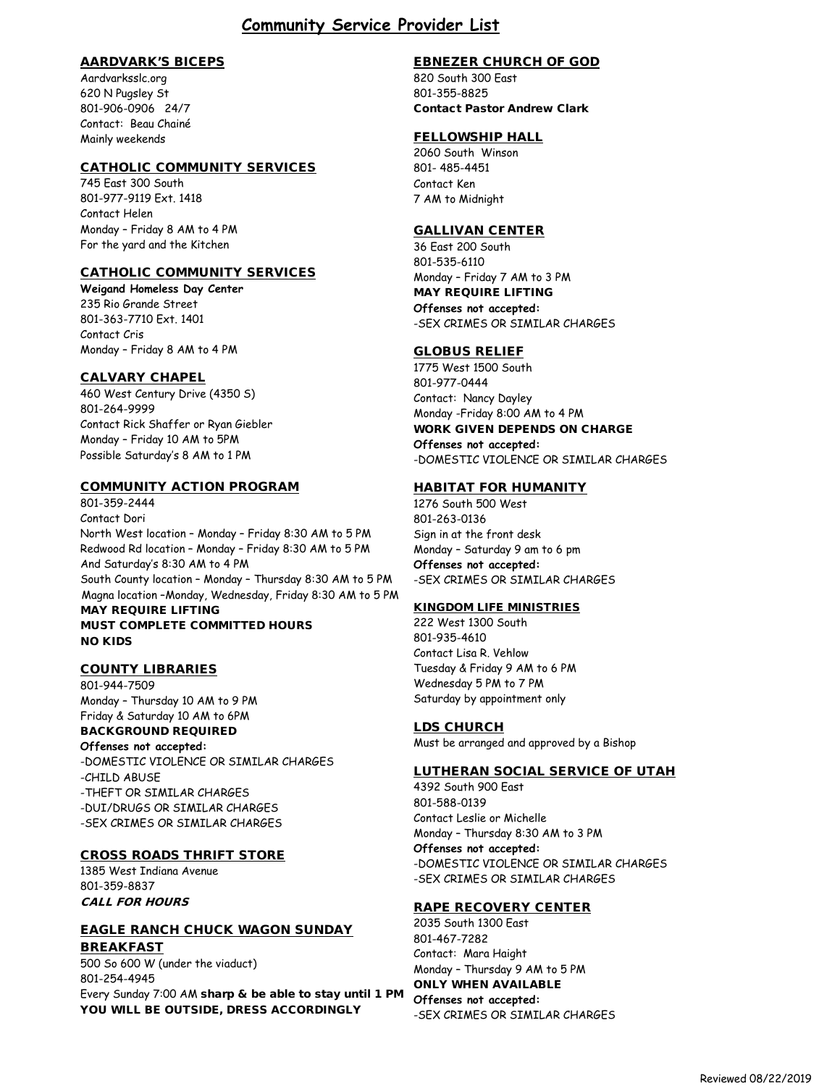# **Community Service Provider List**

#### AARDVARK'S BICEPS

Aardvarksslc.org 620 N Pugsley St 801-906-0906 24/7 Contact: Beau Chainé Mainly weekends

#### CATHOLIC COMMUNITY SERVICES

745 East 300 South 801-977-9119 Ext. 1418 Contact Helen Monday – Friday 8 AM to 4 PM For the yard and the Kitchen

### CATHOLIC COMMUNITY SERVICES

**Weigand Homeless Day Center** 235 Rio Grande Street 801-363-7710 Ext. 1401 Contact Cris Monday – Friday 8 AM to 4 PM

#### CALVARY CHAPEL

460 West Century Drive (4350 S) 801-264-9999 Contact Rick Shaffer or Ryan Giebler Monday – Friday 10 AM to 5PM Possible Saturday's 8 AM to 1 PM

#### COMMUNITY ACTION PROGRAM

801-359-2444 Contact Dori North West location – Monday – Friday 8:30 AM to 5 PM Redwood Rd location – Monday – Friday 8:30 AM to 5 PM And Saturday's 8:30 AM to 4 PM South County location – Monday – Thursday 8:30 AM to 5 PM Magna location –Monday, Wednesday, Friday 8:30 AM to 5 PM MAY REQUIRE LIFTING MUST COMPLETE COMMITTED HOURS NO KIDS

#### COUNTY LIBRARIES

801-944-7509 Monday – Thursday 10 AM to 9 PM Friday & Saturday 10 AM to 6PM BACKGROUND REQUIRED

#### **Offenses not accepted:**

-DOMESTIC VIOLENCE OR SIMILAR CHARGES -CHILD ABUSE -THEFT OR SIMILAR CHARGES -DUI/DRUGS OR SIMILAR CHARGES -SEX CRIMES OR SIMILAR CHARGES

### CROSS ROADS THRIFT STORE

1385 West Indiana Avenue 801-359-8837 CALL FOR HOURS

#### EAGLE RANCH CHUCK WAGON SUNDAY BREAKFAST

500 So 600 W (under the viaduct) 801-254-4945 Every Sunday 7:00 AM sharp & be able to stay until 1 PM YOU WILL BE OUTSIDE, DRESS ACCORDINGLY

### EBNEZER CHURCH OF GOD

820 South 300 East 801-355-8825 Contact Pastor Andrew Clark

## FELLOWSHIP HALL

2060 South Winson 801- 485-4451 Contact Ken 7 AM to Midnight

#### GALLIVAN CENTER

36 East 200 South 801-535-6110 Monday – Friday 7 AM to 3 PM MAY REQUIRE LIFTING **Offenses not accepted:** -SEX CRIMES OR SIMILAR CHARGES

### GLOBUS RELIEF

1775 West 1500 South 801-977-0444 Contact: Nancy Dayley Monday -Friday 8:00 AM to 4 PM WORK GIVEN DEPENDS ON CHARGE **Offenses not accepted:** -DOMESTIC VIOLENCE OR SIMILAR CHARGES

### HABITAT FOR HUMANITY

1276 South 500 West 801-263-0136 Sign in at the front desk Monday – Saturday 9 am to 6 pm **Offenses not accepted:** -SEX CRIMES OR SIMILAR CHARGES

#### KINGDOM LIFE MINISTRIES

222 West 1300 South 801-935-4610 Contact Lisa R. Vehlow Tuesday & Friday 9 AM to 6 PM Wednesday 5 PM to 7 PM Saturday by appointment only

### LDS CHURCH

Must be arranged and approved by a Bishop

#### LUTHERAN SOCIAL SERVICE OF UTAH

4392 South 900 East 801-588-0139 Contact Leslie or Michelle Monday – Thursday 8:30 AM to 3 PM **Offenses not accepted:** -DOMESTIC VIOLENCE OR SIMILAR CHARGES -SEX CRIMES OR SIMILAR CHARGES

### RAPE RECOVERY CENTER

2035 South 1300 East 801-467-7282 Contact: Mara Haight Monday – Thursday 9 AM to 5 PM

### ONLY WHEN AVAILABLE

**Offenses not accepted:** -SEX CRIMES OR SIMILAR CHARGES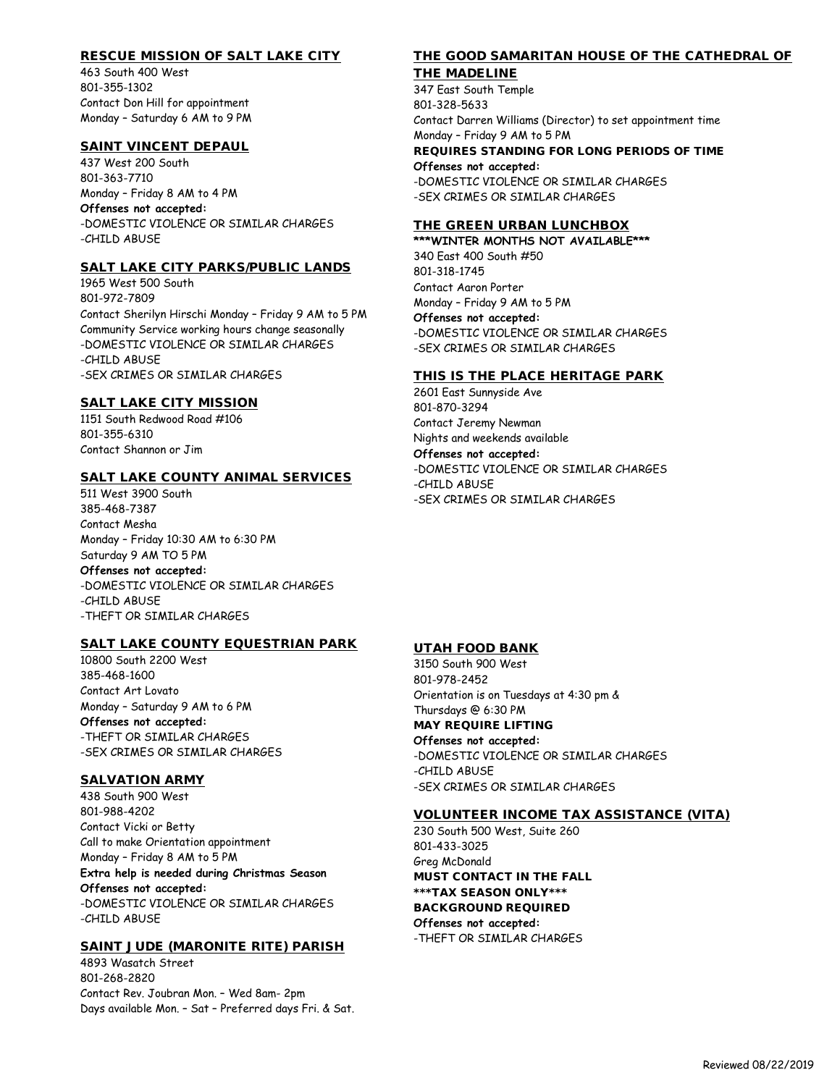## RESCUE MISSION OF SALT LAKE CITY

463 South 400 West 801-355-1302 Contact Don Hill for appointment Monday – Saturday 6 AM to 9 PM

### SAINT VINCENT DEPAUL

437 West 200 South 801-363-7710 Monday – Friday 8 AM to 4 PM **Offenses not accepted:** -DOMESTIC VIOLENCE OR SIMILAR CHARGES -CHILD ABUSE

### SALT LAKE CITY PARKS/PUBLIC LANDS

1965 West 500 South 801-972-7809 Contact Sherilyn Hirschi Monday – Friday 9 AM to 5 PM Community Service working hours change seasonally -DOMESTIC VIOLENCE OR SIMILAR CHARGES -CHILD ABUSE -SEX CRIMES OR SIMILAR CHARGES

### SALT LAKE CITY MISSION

1151 South Redwood Road #106 801-355-6310 Contact Shannon or Jim

### SALT LAKE COUNTY ANIMAL SERVICES

511 West 3900 South 385-468-7387 Contact Mesha Monday – Friday 10:30 AM to 6:30 PM Saturday 9 AM TO 5 PM **Offenses not accepted:** -DOMESTIC VIOLENCE OR SIMILAR CHARGES -CHILD ABUSE -THEFT OR SIMILAR CHARGES

## SALT LAKE COUNTY EQUESTRIAN PARK

10800 South 2200 West 385-468-1600 Contact Art Lovato Monday – Saturday 9 AM to 6 PM **Offenses not accepted:** -THEFT OR SIMILAR CHARGES -SEX CRIMES OR SIMILAR CHARGES

## SALVATION ARMY

438 South 900 West 801-988-4202 Contact Vicki or Betty Call to make Orientation appointment Monday – Friday 8 AM to 5 PM **Extra help is needed during Christmas Season Offenses not accepted:** -DOMESTIC VIOLENCE OR SIMILAR CHARGES -CHILD ABUSE

## SAINT JUDE (MARONITE RITE) PARISH

4893 Wasatch Street 801-268-2820 Contact Rev. Joubran Mon. – Wed 8am- 2pm Days available Mon. – Sat – Preferred days Fri. & Sat.

# THE GOOD SAMARITAN HOUSE OF THE CATHEDRAL OF

## THE MADELINE

347 East South Temple 801-328-5633 Contact Darren Williams (Director) to set appointment time Monday – Friday 9 AM to 5 PM REQUIRES STANDING FOR LONG PERIODS OF TIME **Offenses not accepted:** -DOMESTIC VIOLENCE OR SIMILAR CHARGES -SEX CRIMES OR SIMILAR CHARGES

### THE GREEN URBAN LUNCHBOX

**\*\*\*WINTER MONTHS NOT AVAILABLE\*\*\*** 340 East 400 South #50 801-318-1745 Contact Aaron Porter Monday – Friday 9 AM to 5 PM **Offenses not accepted:** -DOMESTIC VIOLENCE OR SIMILAR CHARGES -SEX CRIMES OR SIMILAR CHARGES

### THIS IS THE PLACE HERITAGE PARK

2601 East Sunnyside Ave 801-870-3294 Contact Jeremy Newman Nights and weekends available **Offenses not accepted:** -DOMESTIC VIOLENCE OR SIMILAR CHARGES -CHILD ABUSE -SEX CRIMES OR SIMILAR CHARGES

# UTAH FOOD BANK

3150 South 900 West 801-978-2452 Orientation is on Tuesdays at 4:30 pm & Thursdays @ 6:30 PM MAY REQUIRE LIFTING **Offenses not accepted:** -DOMESTIC VIOLENCE OR SIMILAR CHARGES -CHILD ABUSE -SEX CRIMES OR SIMILAR CHARGES

## VOLUNTEER INCOME TAX ASSISTANCE (VITA)

230 South 500 West, Suite 260 801-433-3025 Greg McDonald MUST CONTACT IN THE FALL \*\*\*TAX SEASON ONLY\*\*\* BACKGROUND REQUIRED **Offenses not accepted:** -THEFT OR SIMILAR CHARGES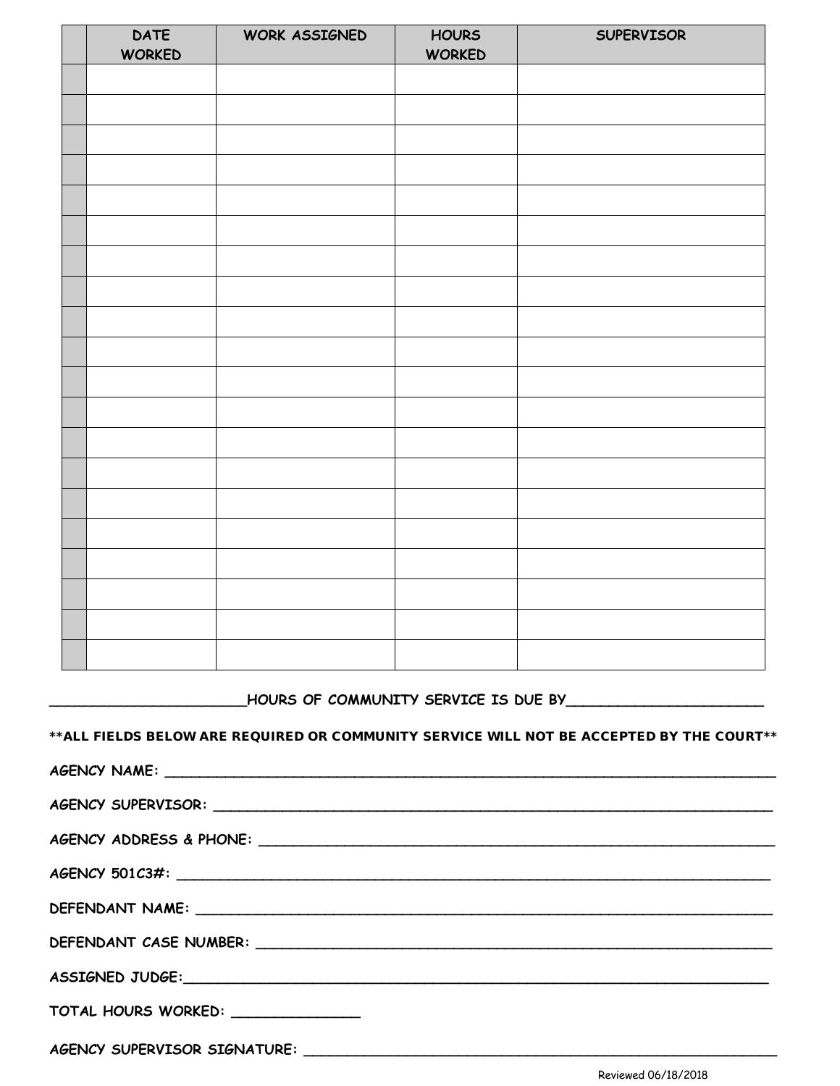| <b>DATE</b><br><b>WORKED</b> | WORK ASSIGNED | <b>HOURS</b><br><b>WORKED</b> | SUPERVISOR |
|------------------------------|---------------|-------------------------------|------------|
|                              |               |                               |            |
|                              |               |                               |            |
|                              |               |                               |            |
|                              |               |                               |            |
|                              |               |                               |            |
|                              |               |                               |            |
|                              |               |                               |            |
|                              |               |                               |            |
|                              |               |                               |            |
|                              |               |                               |            |
|                              |               |                               |            |
|                              |               |                               |            |
|                              |               |                               |            |
|                              |               |                               |            |
|                              |               |                               |            |
|                              |               |                               |            |
|                              |               |                               |            |
|                              |               |                               |            |
|                              |               |                               |            |
|                              |               |                               |            |

\_\_\_\_\_\_\_\_\_\_\_\_\_\_\_\_\_\_\_\_\_\_\_**HOURS OF COMMUNITY SERVICE IS DUE BY\_\_\_\_\_\_\_\_\_\_\_\_\_\_\_\_\_\_\_\_\_\_\_** 

\*\*ALL FIELDS BELOW ARE REQUIRED OR COMMUNITY SERVICE WILL NOT BE ACCEPTED BY THE COURT\*\*